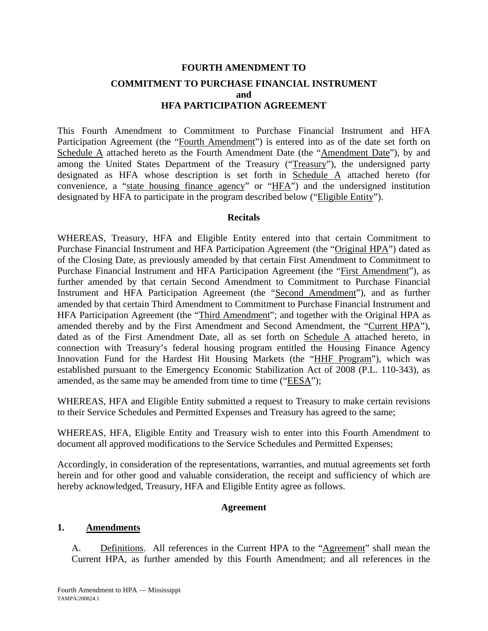# **FOURTH AMENDMENT TO COMMITMENT TO PURCHASE FINANCIAL INSTRUMENT and HFA PARTICIPATION AGREEMENT**

This Fourth Amendment to Commitment to Purchase Financial Instrument and HFA Participation Agreement (the "Fourth Amendment") is entered into as of the date set forth on Schedule A attached hereto as the Fourth Amendment Date (the "Amendment Date"), by and among the United States Department of the Treasury ("Treasury"), the undersigned party designated as HFA whose description is set forth in Schedule A attached hereto (for convenience, a "state housing finance agency" or "HFA") and the undersigned institution designated by HFA to participate in the program described below ("Eligible Entity").

## **Recitals**

WHEREAS, Treasury, HFA and Eligible Entity entered into that certain Commitment to Purchase Financial Instrument and HFA Participation Agreement (the "Original HPA") dated as of the Closing Date, as previously amended by that certain First Amendment to Commitment to Purchase Financial Instrument and HFA Participation Agreement (the "First Amendment"), as further amended by that certain Second Amendment to Commitment to Purchase Financial Instrument and HFA Participation Agreement (the "Second Amendment"), and as further amended by that certain Third Amendment to Commitment to Purchase Financial Instrument and HFA Participation Agreement (the "Third Amendment"; and together with the Original HPA as amended thereby and by the First Amendment and Second Amendment, the "Current HPA"), dated as of the First Amendment Date, all as set forth on Schedule A attached hereto, in connection with Treasury's federal housing program entitled the Housing Finance Agency Innovation Fund for the Hardest Hit Housing Markets (the "HHF Program"), which was established pursuant to the Emergency Economic Stabilization Act of 2008 (P.L. 110-343), as amended, as the same may be amended from time to time ("EESA");

WHEREAS, HFA and Eligible Entity submitted a request to Treasury to make certain revisions to their Service Schedules and Permitted Expenses and Treasury has agreed to the same;

WHEREAS, HFA, Eligible Entity and Treasury wish to enter into this Fourth Amendment to document all approved modifications to the Service Schedules and Permitted Expenses;

Accordingly, in consideration of the representations, warranties, and mutual agreements set forth herein and for other good and valuable consideration, the receipt and sufficiency of which are hereby acknowledged, Treasury, HFA and Eligible Entity agree as follows.

## **Agreement**

## **1. Amendments**

A. Definitions. All references in the Current HPA to the "Agreement" shall mean the Current HPA, as further amended by this Fourth Amendment; and all references in the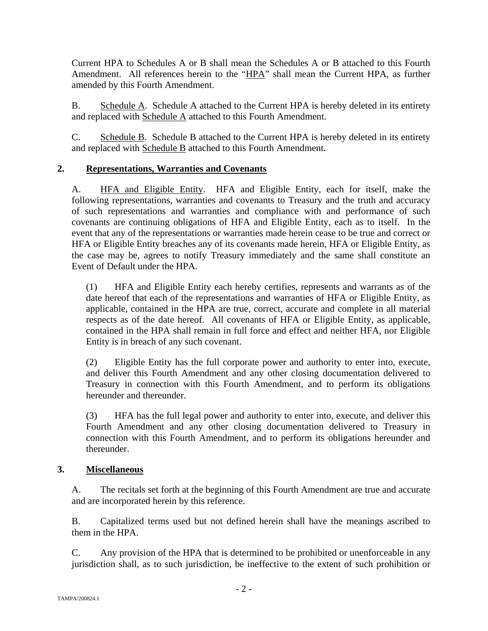Current HPA to Schedules A or B shall mean the Schedules A or B attached to this Fourth Amendment. All references herein to the "HPA" shall mean the Current HPA, as further amended by this Fourth Amendment.

B. Schedule A. Schedule A attached to the Current HPA is hereby deleted in its entirety and replaced with Schedule A attached to this Fourth Amendment.

C. Schedule B. Schedule B attached to the Current HPA is hereby deleted in its entirety and replaced with Schedule B attached to this Fourth Amendment.

# **2. Representations, Warranties and Covenants**

A. HFA and Eligible Entity. HFA and Eligible Entity, each for itself, make the following representations, warranties and covenants to Treasury and the truth and accuracy of such representations and warranties and compliance with and performance of such covenants are continuing obligations of HFA and Eligible Entity, each as to itself. In the event that any of the representations or warranties made herein cease to be true and correct or HFA or Eligible Entity breaches any of its covenants made herein, HFA or Eligible Entity, as the case may be, agrees to notify Treasury immediately and the same shall constitute an Event of Default under the HPA.

(1) HFA and Eligible Entity each hereby certifies, represents and warrants as of the date hereof that each of the representations and warranties of HFA or Eligible Entity, as applicable, contained in the HPA are true, correct, accurate and complete in all material respects as of the date hereof. All covenants of HFA or Eligible Entity, as applicable, contained in the HPA shall remain in full force and effect and neither HFA, nor Eligible Entity is in breach of any such covenant.

(2) Eligible Entity has the full corporate power and authority to enter into, execute, and deliver this Fourth Amendment and any other closing documentation delivered to Treasury in connection with this Fourth Amendment, and to perform its obligations hereunder and thereunder.

(3) HFA has the full legal power and authority to enter into, execute, and deliver this Fourth Amendment and any other closing documentation delivered to Treasury in connection with this Fourth Amendment, and to perform its obligations hereunder and thereunder.

# **3. Miscellaneous**

A. The recitals set forth at the beginning of this Fourth Amendment are true and accurate and are incorporated herein by this reference.

B. Capitalized terms used but not defined herein shall have the meanings ascribed to them in the HPA.

C. Any provision of the HPA that is determined to be prohibited or unenforceable in any jurisdiction shall, as to such jurisdiction, be ineffective to the extent of such prohibition or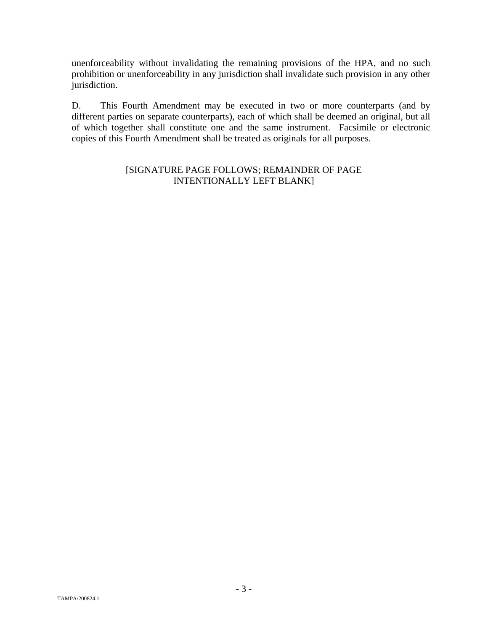unenforceability without invalidating the remaining provisions of the HPA, and no such prohibition or unenforceability in any jurisdiction shall invalidate such provision in any other jurisdiction.

D. This Fourth Amendment may be executed in two or more counterparts (and by different parties on separate counterparts), each of which shall be deemed an original, but all of which together shall constitute one and the same instrument. Facsimile or electronic copies of this Fourth Amendment shall be treated as originals for all purposes.

## [SIGNATURE PAGE FOLLOWS; REMAINDER OF PAGE INTENTIONALLY LEFT BLANK]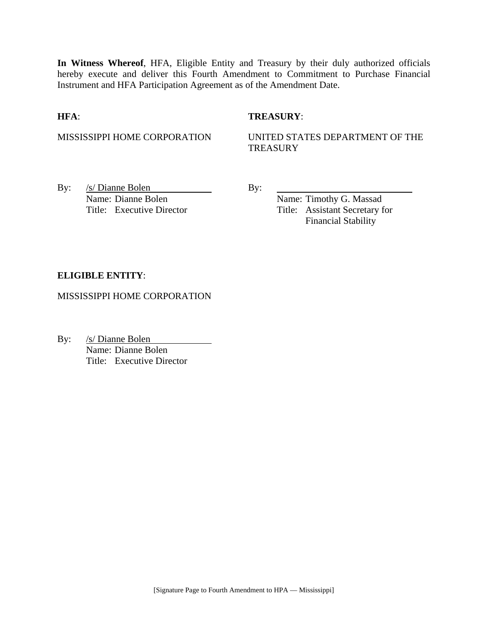**In Witness Whereof**, HFA, Eligible Entity and Treasury by their duly authorized officials hereby execute and deliver this Fourth Amendment to Commitment to Purchase Financial Instrument and HFA Participation Agreement as of the Amendment Date.

## **HFA**: **TREASURY**:

MISSISSIPPI HOME CORPORATION UNITED STATES DEPARTMENT OF THE **TREASURY** 

By: <u>/s/ Dianne Bolen</u> By: Name: Dianne Bolen Name: Timothy G. Massad

Title: Executive Director Title: Assistant Secretary for Financial Stability

## **ELIGIBLE ENTITY**:

MISSISSIPPI HOME CORPORATION

By: /s/ Dianne Bolen Name: Dianne Bolen Title: Executive Director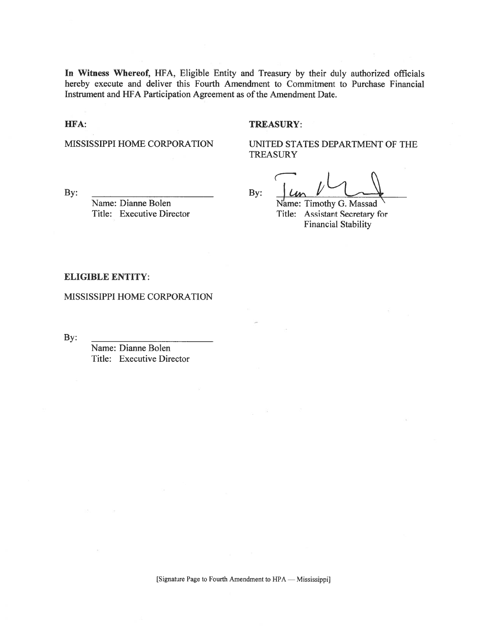In Witness Whereof, HFA, Eligible Entity and Treasury by their duly authorized officials hereby execute and deliver this Fourth Amendment to Commitment to Purchase Financial Instrument and HFA Participation Agreement as of the Amendment Date.

### HFA:

#### **TREASURY:**

MISSISSIPPI HOME CORPORATION

UNITED STATES DEPARTMENT OF THE **TREASURY** 

By:

Name: Dianne Bolen Title: Executive Director

By:

Name: Timothy G. Massad Title: Assistant Secretary for **Financial Stability** 

### **ELIGIBLE ENTITY:**

MISSISSIPPI HOME CORPORATION

By:

Name: Dianne Bolen Title: Executive Director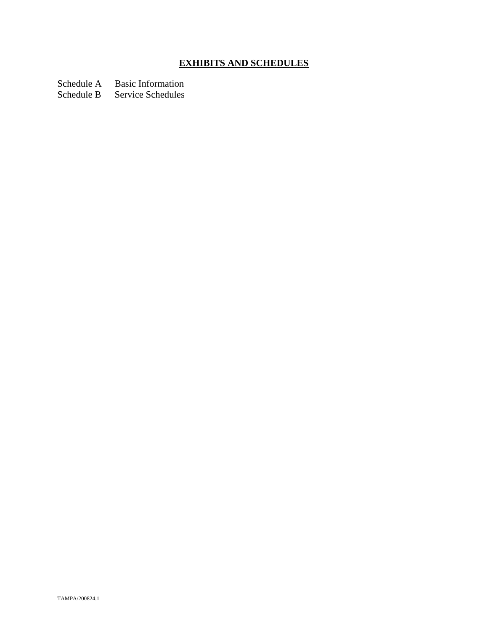# **EXHIBITS AND SCHEDULES**

Schedule A Basic Information<br>Schedule B Service Schedules

Service Schedules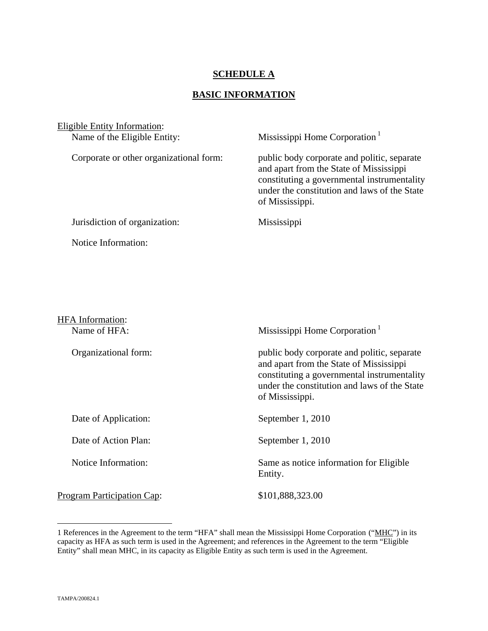# **SCHEDULE A**

# **BASIC INFORMATION**

| <b>Eligible Entity Information:</b>     |                                                                                                                                                                                                          |
|-----------------------------------------|----------------------------------------------------------------------------------------------------------------------------------------------------------------------------------------------------------|
| Name of the Eligible Entity:            | Mississippi Home Corporation <sup>1</sup>                                                                                                                                                                |
| Corporate or other organizational form: | public body corporate and politic, separate<br>and apart from the State of Mississippi<br>constituting a governmental instrumentality<br>under the constitution and laws of the State<br>of Mississippi. |
| Jurisdiction of organization:           | Mississippi                                                                                                                                                                                              |
| Notice Information:                     |                                                                                                                                                                                                          |
|                                         |                                                                                                                                                                                                          |
|                                         |                                                                                                                                                                                                          |
|                                         |                                                                                                                                                                                                          |
| HFA Information:                        |                                                                                                                                                                                                          |
| Name of HFA:                            | Mississippi Home Corporation <sup>1</sup>                                                                                                                                                                |
| Organizational form:                    | public body corporate and politic, separate<br>and apart from the State of Mississippi<br>constituting a governmental instrumentality<br>under the constitution and laws of the State<br>of Mississippi. |
| Date of Application:                    | September 1, 2010                                                                                                                                                                                        |
| Date of Action Plan:                    | September 1, 2010                                                                                                                                                                                        |
|                                         |                                                                                                                                                                                                          |

Notice Information: Same as notice information for Eligible

Program Participation Cap: \$101,888,323.00

Entity.

1

<sup>1</sup> References in the Agreement to the term "HFA" shall mean the Mississippi Home Corporation ("MHC") in its capacity as HFA as such term is used in the Agreement; and references in the Agreement to the term "Eligible Entity" shall mean MHC, in its capacity as Eligible Entity as such term is used in the Agreement.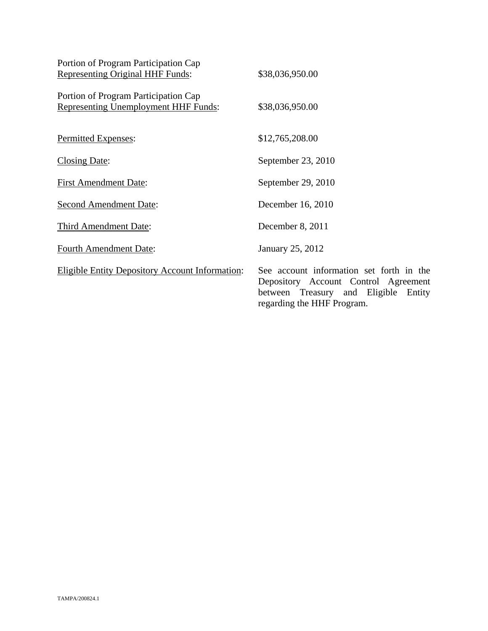| Portion of Program Participation Cap<br><b>Representing Original HHF Funds:</b>     | \$38,036,950.00                                                                                                                                           |
|-------------------------------------------------------------------------------------|-----------------------------------------------------------------------------------------------------------------------------------------------------------|
| Portion of Program Participation Cap<br><b>Representing Unemployment HHF Funds:</b> | \$38,036,950.00                                                                                                                                           |
| Permitted Expenses:                                                                 | \$12,765,208.00                                                                                                                                           |
| <b>Closing Date:</b>                                                                | September 23, 2010                                                                                                                                        |
| <b>First Amendment Date:</b>                                                        | September 29, 2010                                                                                                                                        |
| <b>Second Amendment Date:</b>                                                       | December 16, 2010                                                                                                                                         |
| Third Amendment Date:                                                               | December 8, 2011                                                                                                                                          |
| <b>Fourth Amendment Date:</b>                                                       | January 25, 2012                                                                                                                                          |
| <b>Eligible Entity Depository Account Information:</b>                              | See account information set forth in the<br>Depository Account Control Agreement<br>between Treasury and Eligible<br>Entity<br>regarding the HHF Program. |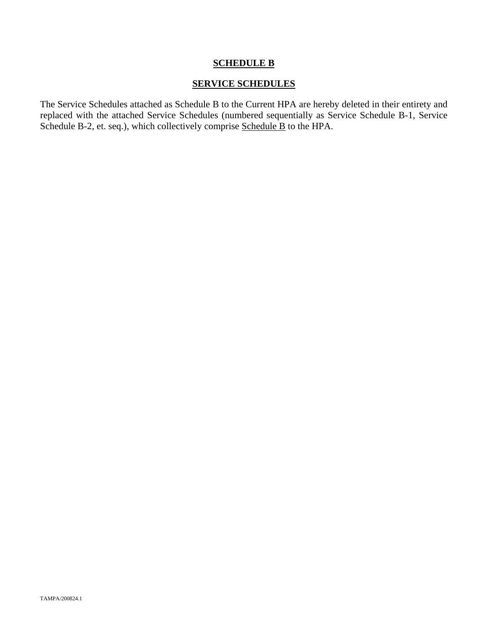# **SCHEDULE B**

## **SERVICE SCHEDULES**

The Service Schedules attached as Schedule B to the Current HPA are hereby deleted in their entirety and replaced with the attached Service Schedules (numbered sequentially as Service Schedule B-1, Service Schedule B-2, et. seq.), which collectively comprise Schedule B to the HPA.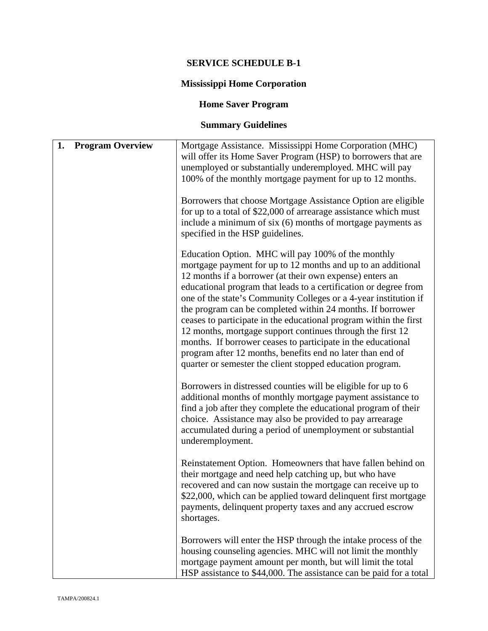# **SERVICE SCHEDULE B-1**

# **Mississippi Home Corporation**

# **Home Saver Program**

# **Summary Guidelines**

| 1. | <b>Program Overview</b> | Mortgage Assistance. Mississippi Home Corporation (MHC)<br>will offer its Home Saver Program (HSP) to borrowers that are<br>unemployed or substantially underemployed. MHC will pay<br>100% of the monthly mortgage payment for up to 12 months.<br>Borrowers that choose Mortgage Assistance Option are eligible<br>for up to a total of \$22,000 of arrearage assistance which must<br>include a minimum of six (6) months of mortgage payments as<br>specified in the HSP guidelines.                                                                                                                                                                                                                           |
|----|-------------------------|--------------------------------------------------------------------------------------------------------------------------------------------------------------------------------------------------------------------------------------------------------------------------------------------------------------------------------------------------------------------------------------------------------------------------------------------------------------------------------------------------------------------------------------------------------------------------------------------------------------------------------------------------------------------------------------------------------------------|
|    |                         | Education Option. MHC will pay 100% of the monthly<br>mortgage payment for up to 12 months and up to an additional<br>12 months if a borrower (at their own expense) enters an<br>educational program that leads to a certification or degree from<br>one of the state's Community Colleges or a 4-year institution if<br>the program can be completed within 24 months. If borrower<br>ceases to participate in the educational program within the first<br>12 months, mortgage support continues through the first 12<br>months. If borrower ceases to participate in the educational<br>program after 12 months, benefits end no later than end of<br>quarter or semester the client stopped education program. |
|    |                         | Borrowers in distressed counties will be eligible for up to 6<br>additional months of monthly mortgage payment assistance to<br>find a job after they complete the educational program of their<br>choice. Assistance may also be provided to pay arrearage<br>accumulated during a period of unemployment or substantial<br>underemployment.                                                                                                                                                                                                                                                                                                                                                                      |
|    |                         | Reinstatement Option. Homeowners that have fallen behind on<br>their mortgage and need help catching up, but who have<br>recovered and can now sustain the mortgage can receive up to<br>\$22,000, which can be applied toward delinquent first mortgage<br>payments, delinquent property taxes and any accrued escrow<br>shortages.                                                                                                                                                                                                                                                                                                                                                                               |
|    |                         | Borrowers will enter the HSP through the intake process of the<br>housing counseling agencies. MHC will not limit the monthly<br>mortgage payment amount per month, but will limit the total<br>HSP assistance to \$44,000. The assistance can be paid for a total                                                                                                                                                                                                                                                                                                                                                                                                                                                 |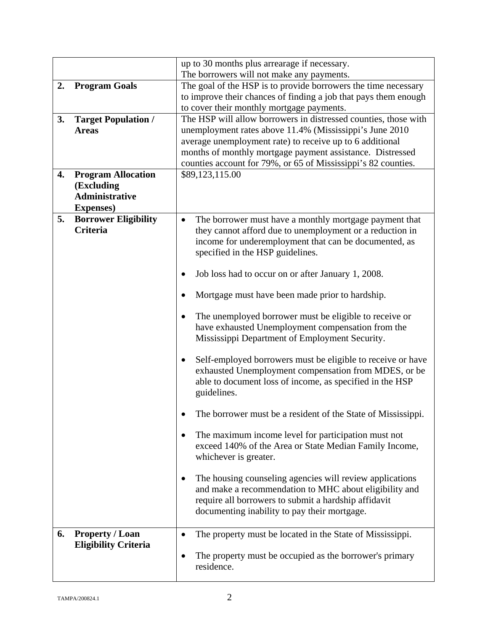|    |                                                | up to 30 months plus arrearage if necessary.                                                                      |
|----|------------------------------------------------|-------------------------------------------------------------------------------------------------------------------|
| 2. | <b>Program Goals</b>                           | The borrowers will not make any payments.<br>The goal of the HSP is to provide borrowers the time necessary       |
|    |                                                | to improve their chances of finding a job that pays them enough                                                   |
|    |                                                | to cover their monthly mortgage payments.                                                                         |
| 3. | <b>Target Population /</b>                     | The HSP will allow borrowers in distressed counties, those with                                                   |
|    | <b>Areas</b>                                   | unemployment rates above 11.4% (Mississippi's June 2010                                                           |
|    |                                                | average unemployment rate) to receive up to 6 additional                                                          |
|    |                                                | months of monthly mortgage payment assistance. Distressed                                                         |
|    |                                                | counties account for 79%, or 65 of Mississippi's 82 counties.                                                     |
| 4. | <b>Program Allocation</b>                      | \$89,123,115.00                                                                                                   |
|    | (Excluding                                     |                                                                                                                   |
|    | <b>Administrative</b>                          |                                                                                                                   |
|    | <b>Expenses</b> )                              |                                                                                                                   |
| 5. | <b>Borrower Eligibility</b><br><b>Criteria</b> | The borrower must have a monthly mortgage payment that                                                            |
|    |                                                | they cannot afford due to unemployment or a reduction in<br>income for underemployment that can be documented, as |
|    |                                                | specified in the HSP guidelines.                                                                                  |
|    |                                                |                                                                                                                   |
|    |                                                | Job loss had to occur on or after January 1, 2008.                                                                |
|    |                                                | Mortgage must have been made prior to hardship.                                                                   |
|    |                                                | The unemployed borrower must be eligible to receive or                                                            |
|    |                                                | have exhausted Unemployment compensation from the                                                                 |
|    |                                                | Mississippi Department of Employment Security.                                                                    |
|    |                                                |                                                                                                                   |
|    |                                                | Self-employed borrowers must be eligible to receive or have<br>٠                                                  |
|    |                                                | exhausted Unemployment compensation from MDES, or be<br>able to document loss of income, as specified in the HSP  |
|    |                                                | guidelines.                                                                                                       |
|    |                                                |                                                                                                                   |
|    |                                                | The borrower must be a resident of the State of Mississippi.                                                      |
|    |                                                | The maximum income level for participation must not                                                               |
|    |                                                | exceed 140% of the Area or State Median Family Income,                                                            |
|    |                                                | whichever is greater.                                                                                             |
|    |                                                |                                                                                                                   |
|    |                                                | The housing counseling agencies will review applications                                                          |
|    |                                                | and make a recommendation to MHC about eligibility and                                                            |
|    |                                                | require all borrowers to submit a hardship affidavit                                                              |
|    |                                                | documenting inability to pay their mortgage.                                                                      |
| 6. | <b>Property / Loan</b>                         | The property must be located in the State of Mississippi.                                                         |
|    | <b>Eligibility Criteria</b>                    |                                                                                                                   |
|    |                                                | The property must be occupied as the borrower's primary                                                           |
|    |                                                | residence.                                                                                                        |
|    |                                                |                                                                                                                   |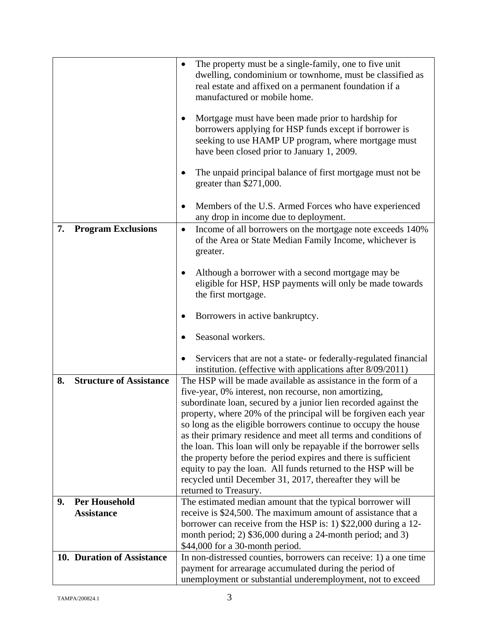|                                                 | The property must be a single-family, one to five unit                                                                             |
|-------------------------------------------------|------------------------------------------------------------------------------------------------------------------------------------|
|                                                 | dwelling, condominium or townhome, must be classified as                                                                           |
|                                                 | real estate and affixed on a permanent foundation if a<br>manufactured or mobile home.                                             |
|                                                 |                                                                                                                                    |
|                                                 | Mortgage must have been made prior to hardship for<br>٠                                                                            |
|                                                 | borrowers applying for HSP funds except if borrower is                                                                             |
|                                                 | seeking to use HAMP UP program, where mortgage must<br>have been closed prior to January 1, 2009.                                  |
|                                                 |                                                                                                                                    |
|                                                 | The unpaid principal balance of first mortgage must not be                                                                         |
|                                                 | greater than $$271,000$ .                                                                                                          |
|                                                 | Members of the U.S. Armed Forces who have experienced                                                                              |
|                                                 | any drop in income due to deployment.                                                                                              |
| <b>Program Exclusions</b><br>7.                 | Income of all borrowers on the mortgage note exceeds 140%<br>$\bullet$                                                             |
|                                                 | of the Area or State Median Family Income, whichever is                                                                            |
|                                                 | greater.                                                                                                                           |
|                                                 | Although a borrower with a second mortgage may be                                                                                  |
|                                                 | eligible for HSP, HSP payments will only be made towards                                                                           |
|                                                 | the first mortgage.                                                                                                                |
|                                                 | Borrowers in active bankruptcy.                                                                                                    |
|                                                 |                                                                                                                                    |
|                                                 | Seasonal workers.                                                                                                                  |
|                                                 | Servicers that are not a state- or federally-regulated financial                                                                   |
|                                                 | institution. (effective with applications after 8/09/2011)                                                                         |
| <b>Structure of Assistance</b><br>8.            | The HSP will be made available as assistance in the form of a                                                                      |
|                                                 | five-year, 0% interest, non recourse, non amortizing,<br>subordinate loan, secured by a junior lien recorded against the           |
|                                                 | property, where 20% of the principal will be forgiven each year                                                                    |
|                                                 | so long as the eligible borrowers continue to occupy the house                                                                     |
|                                                 | as their primary residence and meet all terms and conditions of                                                                    |
|                                                 | the loan. This loan will only be repayable if the borrower sells<br>the property before the period expires and there is sufficient |
|                                                 | equity to pay the loan. All funds returned to the HSP will be                                                                      |
|                                                 | recycled until December 31, 2017, thereafter they will be                                                                          |
|                                                 | returned to Treasury.                                                                                                              |
| <b>Per Household</b><br>9.<br><b>Assistance</b> | The estimated median amount that the typical borrower will<br>receive is \$24,500. The maximum amount of assistance that a         |
|                                                 | borrower can receive from the HSP is: 1) \$22,000 during a 12-                                                                     |
|                                                 | month period; 2) \$36,000 during a 24-month period; and 3)                                                                         |
|                                                 | \$44,000 for a 30-month period.                                                                                                    |
| 10. Duration of Assistance                      | In non-distressed counties, borrowers can receive: 1) a one time<br>payment for arrearage accumulated during the period of         |
|                                                 | unemployment or substantial underemployment, not to exceed                                                                         |